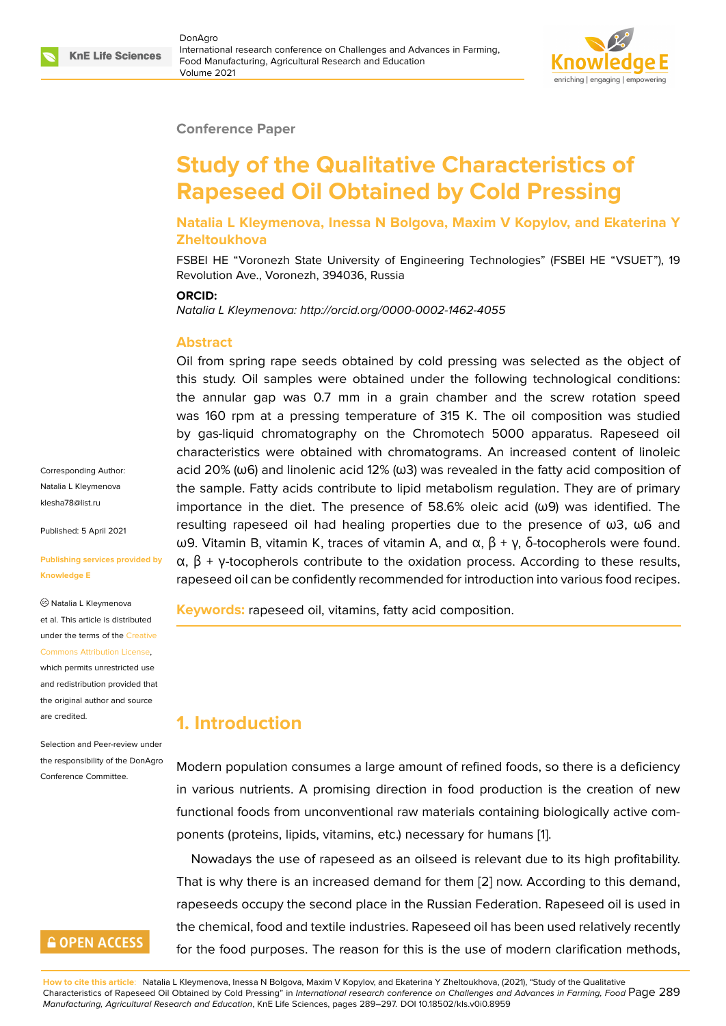### **Conference Paper**

# **Study of the Qualitative Characteristics of Rapeseed Oil Obtained by Cold Pressing**

**Natalia L Kleymenova, Inessa N Bolgova, Maxim V Kopylov, and Ekaterina Y Zheltoukhova**

FSBEI HE "Voronezh State University of Engineering Technologies" (FSBEI HE "VSUET"), 19 Revolution Ave., Voronezh, 394036, Russia

#### **ORCID:**

*Natalia L Kleymenova: http://orcid.org/0000-0002-1462-4055*

### **Abstract**

Oil from spring rape seeds obtained by cold pressing was selected as the object of this study. Oil samples were obtained under the following technological conditions: the annular gap was 0.7 mm in a grain chamber and the screw rotation speed was 160 rpm at a pressing temperature of 315 K. The oil composition was studied by gas-liquid chromatography on the Chromotech 5000 apparatus. Rapeseed oil characteristics were obtained with chromatograms. An increased content of linoleic acid 20% (ω6) and linolenic acid 12% (ω3) was revealed in the fatty acid composition of the sample. Fatty acids contribute to lipid metabolism regulation. They are of primary importance in the diet. The presence of 58.6% oleic acid (ω9) was identified. The resulting rapeseed oil had healing properties due to the presence of ω3, ω6 and ω9. Vitamin B, vitamin K, traces of vitamin A, and  $\alpha$ ,  $\beta$  + γ, δ-tocopherols were found.  $\alpha$ ,  $\beta$  + γ-tocopherols contribute to the oxidation process. According to these results, rapeseed oil can be confidently recommended for introduction into various food recipes.

**Keywords:** rapeseed oil, vitamins, fatty acid composition.

# **1. Introduction**

Modern population consumes a large amount of refined foods, so there is a deficiency in various nutrients. A promising direction in food production is the creation of new functional foods from unconventional raw materials containing biologically active components (proteins, lipids, vitamins, etc.) necessary for humans [1].

Nowadays the use of rapeseed as an oilseed is relevant due to its high profitability. That is why there is an increased demand for them [2] now. According to this demand, rapeseeds occupy the second place in the Russian Federation[.](#page-7-0) Rapeseed oil is used in the chemical, food and textile industries. Rapeseed oil has been used relatively recently for the food purposes. The reason for this is the us[e](#page-7-1) of modern clarification methods,

**How to cite this article**: Natalia L Kleymenova, Inessa N Bolgova, Maxim V Kopylov, and Ekaterina Y Zheltoukhova, (2021), "Study of the Qualitative Characteristics of Rapeseed Oil Obtained by Cold Pressing" in *International research conference on Challenges and Advances in Farming, Food* Page 289 *Manufacturing, Agricultural Research and Education*, KnE Life Sciences, pages 289–297. DOI 10.18502/kls.v0i0.8959

Corresponding Author: Natalia L Kleymenova klesha78@list.ru

Published: 5 April 2021

#### **[Publishing servi](mailto:klesha78@list.ru)ces provided by Knowledge E**

Natalia L Kleymenova et al. This article is distributed under the terms of the Creative Commons Attribution License, which permits unrestricted use

and redistribution provided that the original author and [source](https://creativecommons.org/licenses/by/4.0/) [are credited.](https://creativecommons.org/licenses/by/4.0/)

Selection and Peer-review under the responsibility of the DonAgro Conference Committee.

### **GOPEN ACCESS**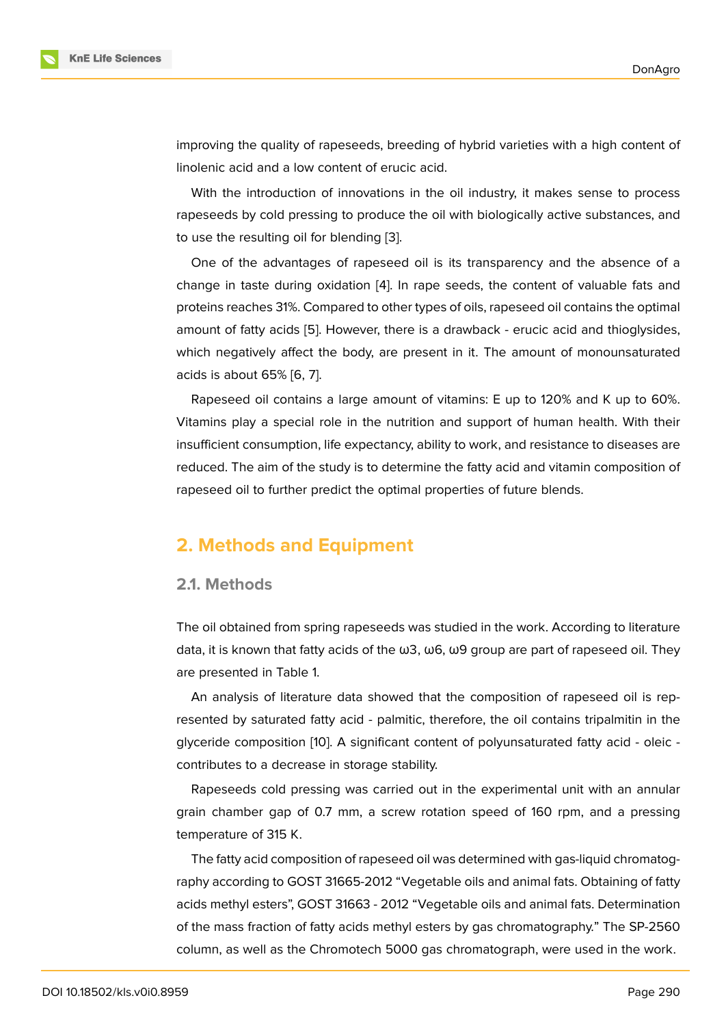improving the quality of rapeseeds, breeding of hybrid varieties with a high content of linolenic acid and a low content of erucic acid.

With the introduction of innovations in the oil industry, it makes sense to process rapeseeds by cold pressing to produce the oil with biologically active substances, and to use the resulting oil for blending [3].

One of the advantages of rapeseed oil is its transparency and the absence of a change in taste during oxidation [4]. In rape seeds, the content of valuable fats and proteins reaches 31%. Compared to [oth](#page-7-2)er types of oils, rapeseed oil contains the optimal amount of fatty acids [5]. However, there is a drawback - erucic acid and thioglysides, which negatively affect the body, [a](#page-7-3)re present in it. The amount of monounsaturated acids is about 65% [6, 7].

Rapeseed oil conta[in](#page-7-4)s a large amount of vitamins: E up to 120% and K up to 60%. Vitamins play a special role in the nutrition and support of human health. With their insufficient consum[pti](#page-7-5)[on](#page-7-6), life expectancy, ability to work, and resistance to diseases are reduced. The aim of the study is to determine the fatty acid and vitamin composition of rapeseed oil to further predict the optimal properties of future blends.

### **2. Methods and Equipment**

### **2.1. Methods**

The oil obtained from spring rapeseeds was studied in the work. According to literature data, it is known that fatty acids of the ω3, ω6, ω9 group are part of rapeseed oil. They are presented in Table 1.

An analysis of literature data showed that the composition of rapeseed oil is represented by saturated fatty acid - palmitic, therefore, the oil contains tripalmitin in the glyceride composition [10]. A significant content of polyunsaturated fatty acid - oleic contributes to a decrease in storage stability.

Rapeseeds cold pressing was carried out in the experimental unit with an annular grain chamber gap of [0.7](#page-7-7) mm, a screw rotation speed of 160 rpm, and a pressing temperature of 315 K.

The fatty acid composition of rapeseed oil was determined with gas-liquid chromatography according to GOST 31665-2012 "Vegetable oils and animal fats. Obtaining of fatty acids methyl esters", GOST 31663 - 2012 "Vegetable oils and animal fats. Determination of the mass fraction of fatty acids methyl esters by gas chromatography." The SP-2560 column, as well as the Chromotech 5000 gas chromatograph, were used in the work.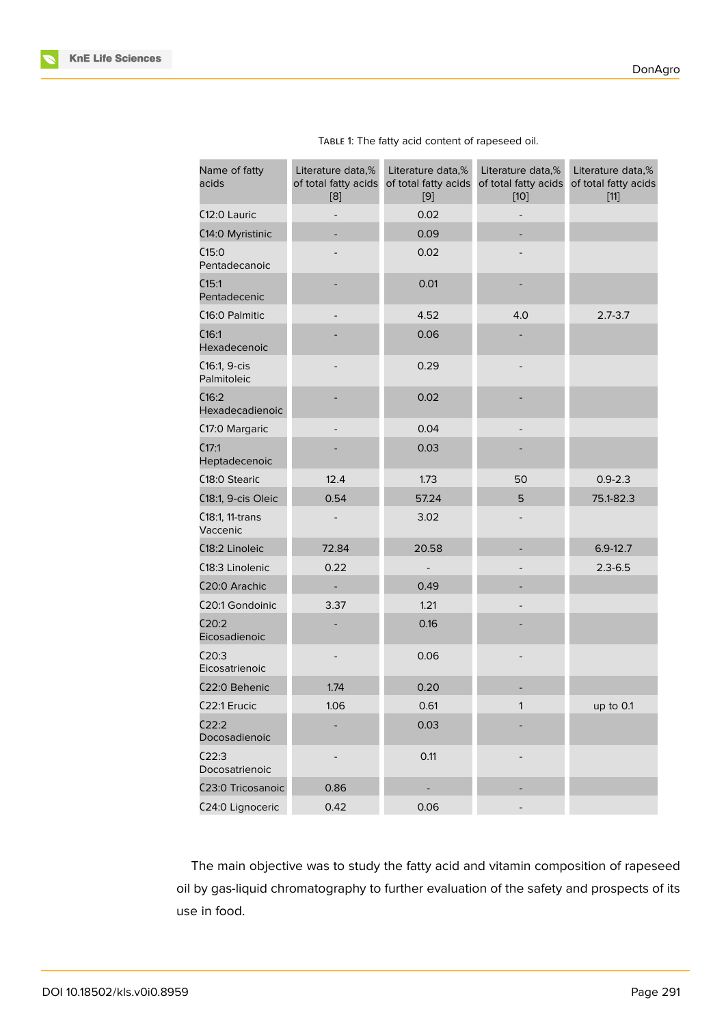| Name of fatty<br>acids      | Literature data,%<br>of total fatty acids<br>[8] | Literature data,%<br>of total fatty acids<br>[9] | Literature data,%<br>of total fatty acids<br>$[10]$ | Literature data,%<br>of total fatty acids<br>$[11]$ |
|-----------------------------|--------------------------------------------------|--------------------------------------------------|-----------------------------------------------------|-----------------------------------------------------|
| C <sub>12</sub> :0 Lauric   | 0.02                                             |                                                  |                                                     |                                                     |
| C14:0 Myristinic            |                                                  | 0.09                                             |                                                     |                                                     |
| C15:0<br>Pentadecanoic      |                                                  | 0.02                                             |                                                     |                                                     |
| C15:1<br>Pentadecenic       |                                                  | 0.01                                             |                                                     |                                                     |
| C <sub>16</sub> :0 Palmitic |                                                  | 4.52                                             | 4.0                                                 | $2.7 - 3.7$                                         |
| C16:1<br>Hexadecenoic       |                                                  | 0.06                                             |                                                     |                                                     |
| C16:1, 9-cis<br>Palmitoleic |                                                  | 0.29                                             |                                                     |                                                     |
| C16:2<br>Hexadecadienoic    |                                                  | 0.02                                             |                                                     |                                                     |
| C17:0 Margaric              |                                                  | 0.04                                             |                                                     |                                                     |
| C17:1<br>Heptadecenoic      |                                                  | 0.03                                             |                                                     |                                                     |
| C18:0 Stearic               | 12.4                                             | 1.73                                             | 50                                                  | $0.9 - 2.3$                                         |
| C18:1, 9-cis Oleic          | 0.54                                             | 57.24                                            | 5                                                   | 75.1-82.3                                           |
| C18:1, 11-trans<br>Vaccenic |                                                  | 3.02                                             |                                                     |                                                     |
| C18:2 Linoleic              | 72.84                                            | 20.58                                            |                                                     | $6.9 - 12.7$                                        |
| C18:3 Linolenic             | 0.22                                             | $\overline{a}$                                   |                                                     | $2.3 - 6.5$                                         |
| C <sub>20:0</sub> Arachic   | $\overline{\phantom{0}}$                         | 0.49                                             |                                                     |                                                     |
| C20:1 Gondoinic             | 3.37                                             | 1.21                                             |                                                     |                                                     |
| C20:2<br>Eicosadienoic      |                                                  | 0.16                                             |                                                     |                                                     |
| C20:3<br>Eicosatrienoic     |                                                  | 0.06                                             |                                                     |                                                     |
| C22:0 Behenic               | 1.74                                             | 0.20                                             |                                                     |                                                     |
| C22:1 Erucic                | 1.06                                             | 0.61                                             | 1                                                   | up to 0.1                                           |
| C22:2<br>Docosadienoic      |                                                  | 0.03                                             |                                                     |                                                     |
| C22:3<br>Docosatrienoic     |                                                  | 0.11                                             |                                                     |                                                     |
| C23:0 Tricosanoic           | 0.86                                             |                                                  |                                                     |                                                     |
| C24:0 Lignoceric            | 0.42                                             | 0.06                                             |                                                     |                                                     |

| TABLE 1: The fatty acid content of rapeseed oil. |  |  |  |
|--------------------------------------------------|--|--|--|
|                                                  |  |  |  |

The main objective was to study the fatty acid and vitamin composition of rapeseed oil by gas-liquid chromatography to further evaluation of the safety and prospects of its use in food.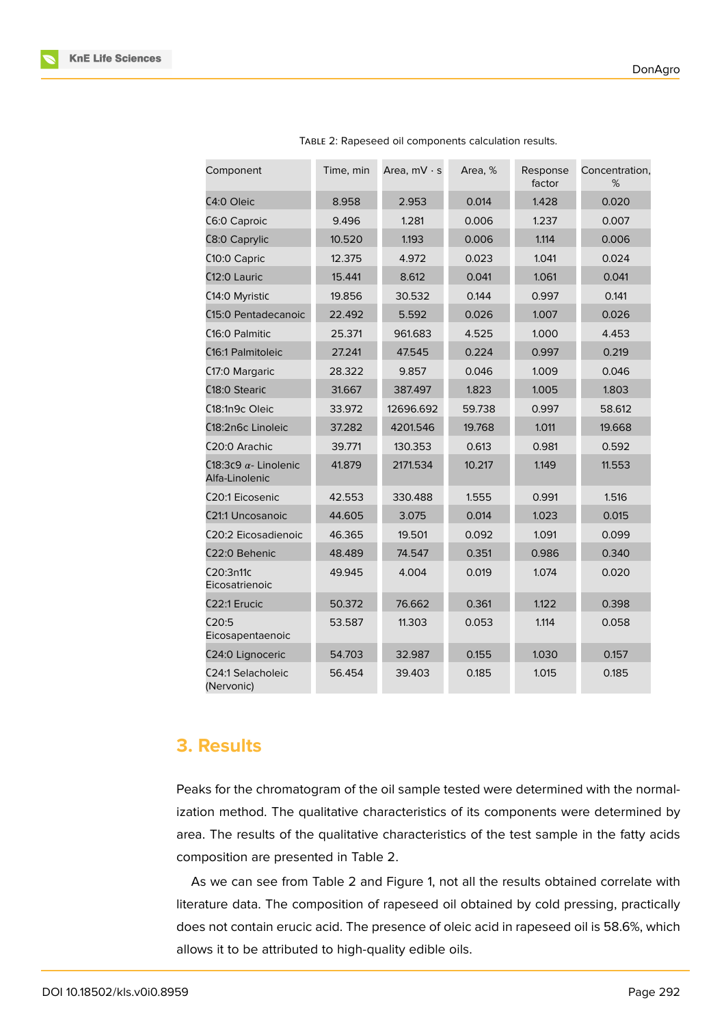| Component                                      | Time, min | Area, $mV \cdot s$ | Area, % | Response<br>factor | Concentration,<br>% |
|------------------------------------------------|-----------|--------------------|---------|--------------------|---------------------|
| C4:0 Oleic                                     | 8.958     | 2.953              | 0.014   | 1.428              | 0.020               |
| C6:0 Caproic                                   | 9.496     | 1.281              | 0.006   | 1.237              | 0.007               |
| C8:0 Caprylic                                  | 10.520    | 1.193              | 0.006   | 1.114              | 0.006               |
| C10:0 Capric                                   | 12.375    | 4.972              | 0.023   | 1.041              | 0.024               |
| C12:0 Lauric                                   | 15.441    | 8.612              | 0.041   | 1.061              | 0.041               |
| C14:0 Myristic                                 | 19.856    | 30.532             | 0.144   | 0.997              | 0.141               |
| C15:0 Pentadecanoic                            | 22.492    | 5.592              | 0.026   | 1.007              | 0.026               |
| C <sub>16</sub> :0 Palmitic                    | 25.371    | 961.683            | 4.525   | 1.000              | 4.453               |
| C <sub>16</sub> :1 Palmitoleic                 | 27.241    | 47.545             | 0.224   | 0.997              | 0.219               |
| C17:0 Margaric                                 | 28.322    | 9.857              | 0.046   | 1.009              | 0.046               |
| C <sub>18</sub> :0 Stearic                     | 31.667    | 387.497            | 1.823   | 1.005              | 1.803               |
| C18:1n9c Oleic                                 | 33.972    | 12696.692          | 59.738  | 0.997              | 58.612              |
| C18:2n6c Linoleic                              | 37.282    | 4201.546           | 19.768  | 1.011              | 19.668              |
| C <sub>20</sub> :0 Arachic                     | 39.771    | 130.353            | 0.613   | 0.981              | 0.592               |
| C18:3c9 $\alpha$ - Linolenic<br>Alfa-Linolenic | 41.879    | 2171.534           | 10.217  | 1.149              | 11.553              |
| C <sub>20</sub> :1 Eicosenic                   | 42.553    | 330.488            | 1.555   | 0.991              | 1.516               |
| C21:1 Uncosanoic                               | 44.605    | 3.075              | 0.014   | 1.023              | 0.015               |
| C20:2 Eicosadienoic                            | 46.365    | 19.501             | 0.092   | 1.091              | 0.099               |
| C22:0 Behenic                                  | 48.489    | 74.547             | 0.351   | 0.986              | 0.340               |
| C20:3n11c<br>Eicosatrienoic                    | 49.945    | 4.004              | 0.019   | 1.074              | 0.020               |
| C <sub>22</sub> :1 Erucic                      | 50.372    | 76.662             | 0.361   | 1.122              | 0.398               |
| C20:5<br>Eicosapentaenoic                      | 53.587    | 11.303             | 0.053   | 1.114              | 0.058               |
| C24:0 Lignoceric                               | 54.703    | 32.987             | 0.155   | 1.030              | 0.157               |
| C24:1 Selacholeic<br>(Nervonic)                | 56.454    | 39.403             | 0.185   | 1.015              | 0.185               |

|  |  | TABLE 2: Rapeseed oil components calculation results. |  |
|--|--|-------------------------------------------------------|--|
|  |  |                                                       |  |

# **3. Results**

Peaks for the chromatogram of the oil sample tested were determined with the normalization method. The qualitative characteristics of its components were determined by area. The results of the qualitative characteristics of the test sample in the fatty acids composition are presented in Table 2.

As we can see from Table 2 and Figure 1, not all the results obtained correlate with literature data. The composition of rapeseed oil obtained by cold pressing, practically does not contain erucic acid. The presence of oleic acid in rapeseed oil is 58.6%, which allows it to be attributed to high-quality edi[b](#page-4-0)le oils.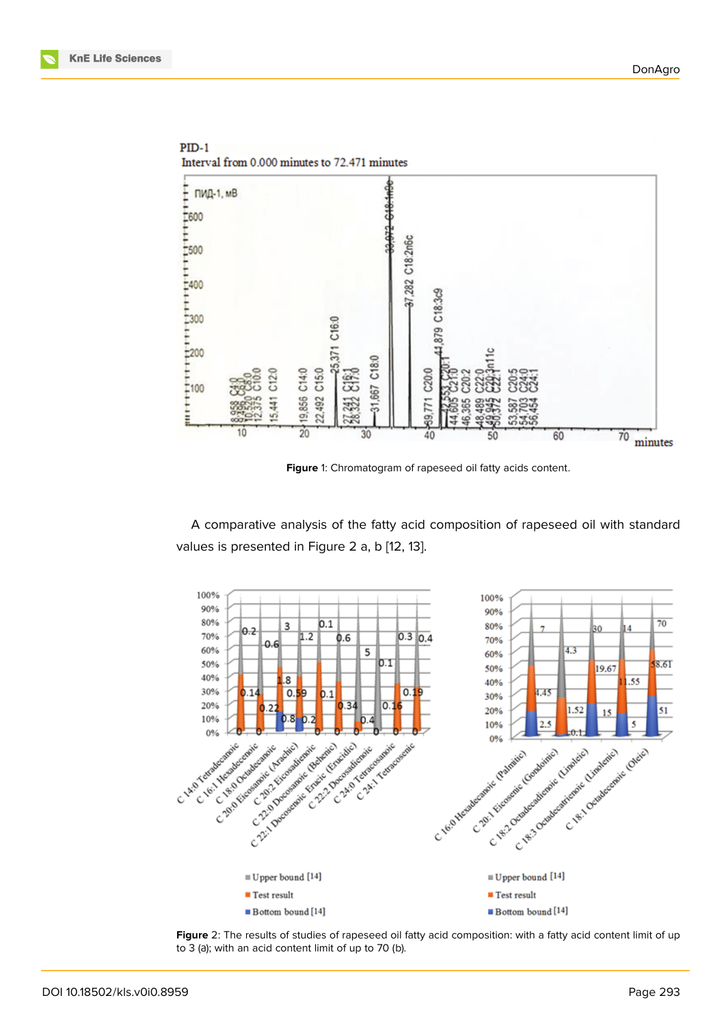

<span id="page-4-0"></span>**Figure** 1: Chromatogram of rapeseed oil fatty acids content.

A comparative analysis of the fatty acid composition of rapeseed oil with standard values is presented in Figure 2 a, b [12, 13].



**Figure** 2: The results of studies of rapeseed oil fatty acid composition: with a fatty acid content limit of up to 3 (а); with an acid content limit of up to 70 (b).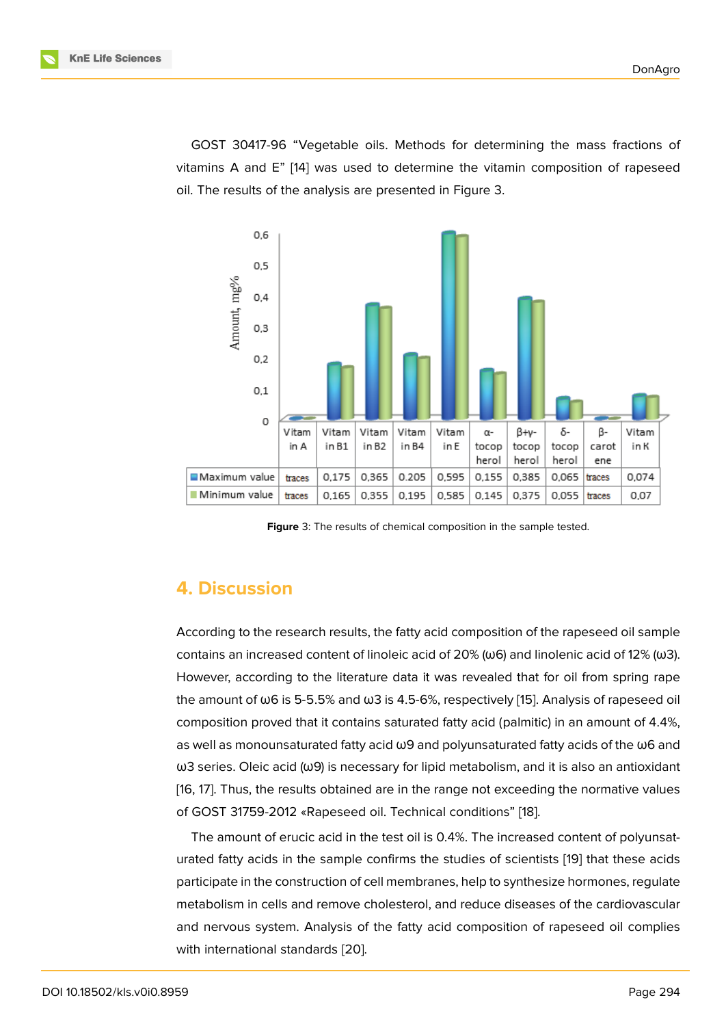GOST 30417-96 "Vegetable oils. Methods for determining the mass fractions of vitamins A and E" [14] was used to determine the vitamin composition of rapeseed oil. The results of the analysis are presented in Figure 3.



<span id="page-5-0"></span>**Figure** 3: The results of chemical composition in the sample tested.

# **4. Discussion**

According to the research results, the fatty acid composition of the rapeseed oil sample contains an increased content of linoleic acid of 20% ( $\omega$ 6) and linolenic acid of 12% ( $\omega$ 3). However, according to the literature data it was revealed that for oil from spring rape the amount of ω6 is 5-5.5% and ω3 is 4.5-6%, respectively [15]. Analysis of rapeseed oil composition proved that it contains saturated fatty acid (palmitic) in an amount of 4.4%, as well as monounsaturated fatty acid ω9 and polyunsaturated fatty acids of the ω6 and  $\omega$ 3 series. Oleic acid ( $\omega$ 9) is necessary for lipid metabolism, [an](#page-8-0)d it is also an antioxidant [16, 17]. Thus, the results obtained are in the range not exceeding the normative values of GOST 31759-2012 «Rapeseed oil. Technical conditions" [18].

The amount of erucic acid in the test oil is 0.4%. The increased content of polyunsat[ura](#page-8-1)[ted](#page-8-2) fatty acids in the sample confirms the studies of scientists [19] that these acids participate in the construction of cell membranes, help to sy[nthe](#page-8-3)size hormones, regulate metabolism in cells and remove cholesterol, and reduce diseases of the cardiovascular and nervous system. Analysis of the fatty acid composition of ra[pes](#page-8-4)eed oil complies with international standards [20].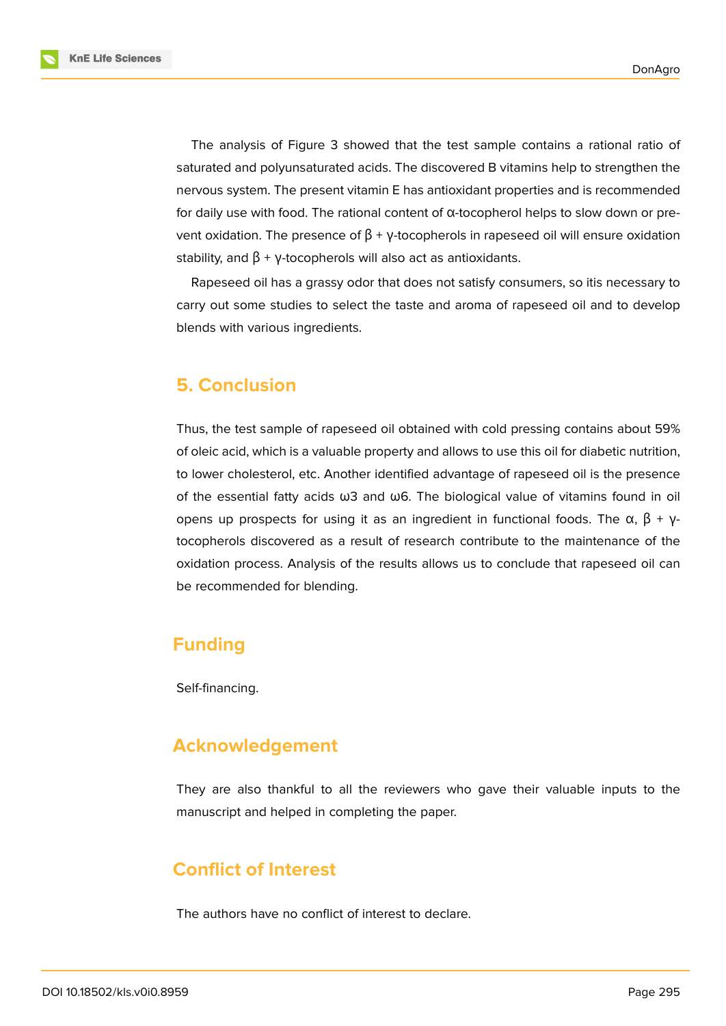The analysis of Figure 3 showed that the test sample contains a rational ratio of saturated and polyunsaturated acids. The discovered B vitamins help to strengthen the nervous system. The present vitamin E has antioxidant properties and is recommended for daily use with food. Th[e r](#page-5-0)ational content of  $\alpha$ -tocopherol helps to slow down or prevent oxidation. The presence of  $\beta$  + γ-tocopherols in rapeseed oil will ensure oxidation stability, and  $\beta$  + y-tocopherols will also act as antioxidants.

Rapeseed oil has a grassy odor that does not satisfy consumers, so itis necessary to carry out some studies to select the taste and aroma of rapeseed oil and to develop blends with various ingredients.

### **5. Conclusion**

Thus, the test sample of rapeseed oil obtained with cold pressing contains about 59% of oleic acid, which is a valuable property and allows to use this oil for diabetic nutrition, to lower cholesterol, etc. Another identified advantage of rapeseed oil is the presence of the essential fatty acids ω3 and ω6. The biological value of vitamins found in oil opens up prospects for using it as an ingredient in functional foods. The α,  $\beta + \gamma$ tocopherols discovered as a result of research contribute to the maintenance of the oxidation process. Analysis of the results allows us to conclude that rapeseed oil can be recommended for blending.

### **Funding**

Self-financing.

# **Acknowledgement**

They are also thankful to all the reviewers who gave their valuable inputs to the manuscript and helped in completing the paper.

# **Conflict of Interest**

The authors have no conflict of interest to declare.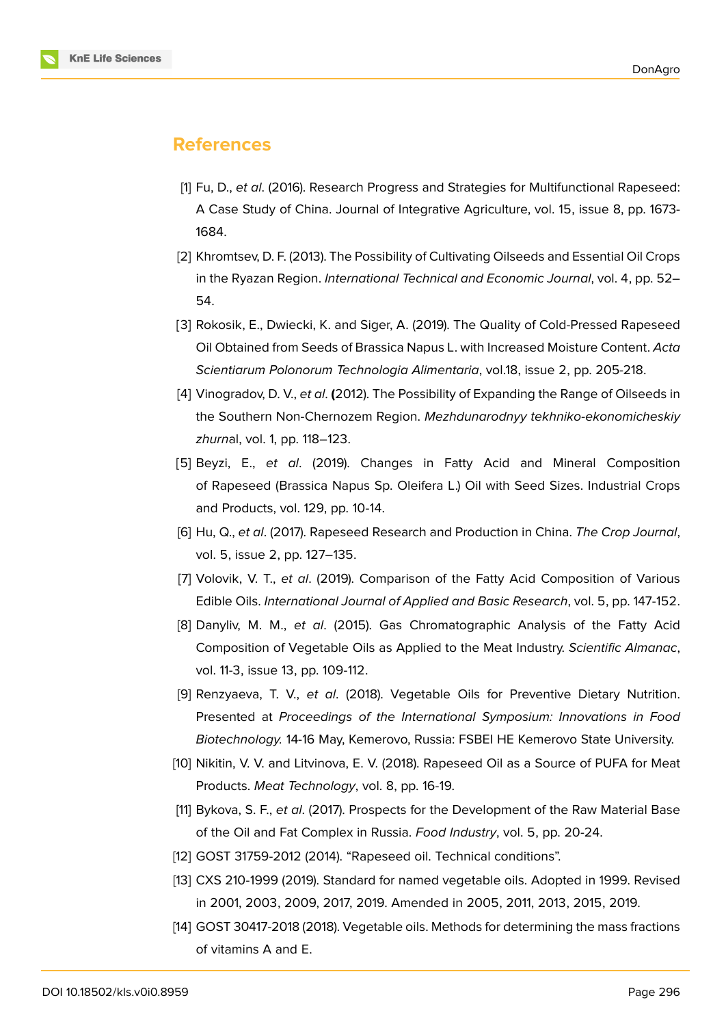

### **References**

- <span id="page-7-0"></span>[1] Fu, D., *et al*. (2016). Research Progress and Strategies for Multifunctional Rapeseed: A Case Study of China. Journal of Integrative Agriculture, vol. 15, issue 8, pp. 1673- 1684.
- <span id="page-7-1"></span>[2] Khromtsev, D. F. (2013). The Possibility of Cultivating Oilseeds and Essential Oil Crops in the Ryazan Region. *International Technical and Economic Journal*, vol. 4, pp. 52– 54.
- <span id="page-7-2"></span>[3] Rokosik, E., Dwiecki, K. and Siger, A. (2019). The Quality of Cold-Pressed Rapeseed Oil Obtained from Seeds of Brassica Napus L. with Increased Moisture Content. *Acta Scientiarum Polonorum Technologia Alimentaria*, vol.18, issue 2, pp. 205-218.
- <span id="page-7-3"></span>[4] Vinogradov, D. V., *et al*. **(**2012). The Possibility of Expanding the Range of Oilseeds in the Southern Non-Chernozem Region. *Mezhdunarodnyy tekhniko-ekonomicheskiy zhurn*al, vol. 1, pp. 118–123.
- <span id="page-7-4"></span>[5] Beyzi, E., *et al*. (2019). Changes in Fatty Acid and Mineral Composition of Rapeseed (Brassica Napus Sp. Oleifera L.) Oil with Seed Sizes. Industrial Crops and Products, vol. 129, pp. 10-14.
- <span id="page-7-5"></span>[6] Hu, Q., *et al*. (2017). Rapeseed Research and Production in China. *The Crop Journal*, vol. 5, issue 2, pp. 127–135.
- <span id="page-7-6"></span>[7] Volovik, V. T., *et al*. (2019). Comparison of the Fatty Acid Composition of Various Edible Oils. *International Journal of Applied and Basic Research*, vol. 5, pp. 147-152.
- <span id="page-7-8"></span>[8] Danyliv, M. M., *et al*. (2015). Gas Chromatographic Analysis of the Fatty Acid Composition of Vegetable Oils as Applied to the Meat Industry. *Scientific Almanac*, vol. 11-3, issue 13, pp. 109-112.
- <span id="page-7-9"></span>[9] Renzyaeva, T. V., *et al*. (2018). Vegetable Oils for Preventive Dietary Nutrition. Presented at *Proceedings of the International Symposium: Innovations in Food Biotechnology.* 14-16 May, Kemerovo, Russia: FSBEI HE Kemerovo State University.
- <span id="page-7-7"></span>[10] Nikitin, V. V. and Litvinova, E. V. (2018). Rapeseed Oil as a Source of PUFA for Meat Products. *Meat Technology*, vol. 8, pp. 16-19.
- [11] Bykova, S. F., *et al*. (2017). Prospects for the Development of the Raw Material Base of the Oil and Fat Complex in Russia. *Food Industry*, vol. 5, pp. 20-24.
- [12] GOST 31759-2012 (2014). "Rapeseed oil. Technical conditions".
- [13] CXS 210-1999 (2019). Standard for named vegetable oils. Adopted in 1999. Revised in 2001, 2003, 2009, 2017, 2019. Amended in 2005, 2011, 2013, 2015, 2019.
- [14] GOST 30417-2018 (2018). Vegetable oils. Methods for determining the mass fractions of vitamins A and E.